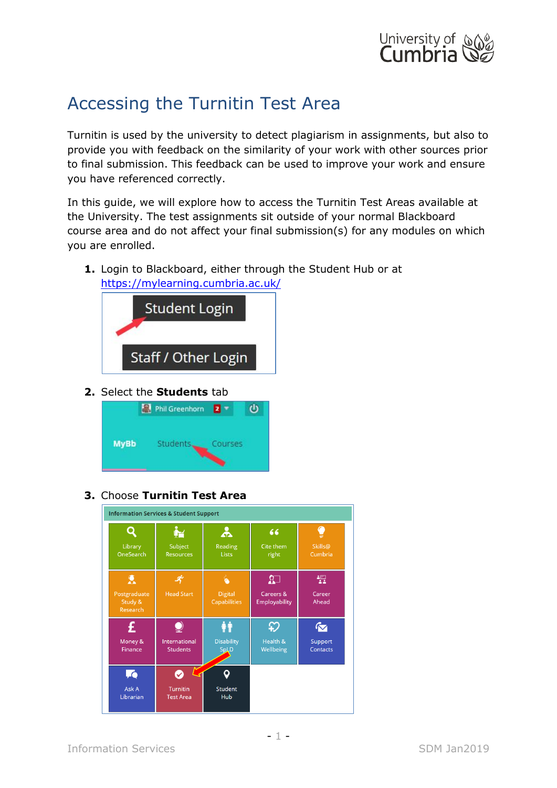

## Accessing the Turnitin Test Area

Turnitin is used by the university to detect plagiarism in assignments, but also to provide you with feedback on the similarity of your work with other sources prior to final submission. This feedback can be used to improve your work and ensure you have referenced correctly.

In this guide, we will explore how to access the Turnitin Test Areas available at the University. The test assignments sit outside of your normal Blackboard course area and do not affect your final submission(s) for any modules on which you are enrolled.

**1.** Login to Blackboard, either through the Student Hub or at <https://mylearning.cumbria.ac.uk/>



**2.** Select the **Students** tab



**3.** Choose **Turnitin Test Area**

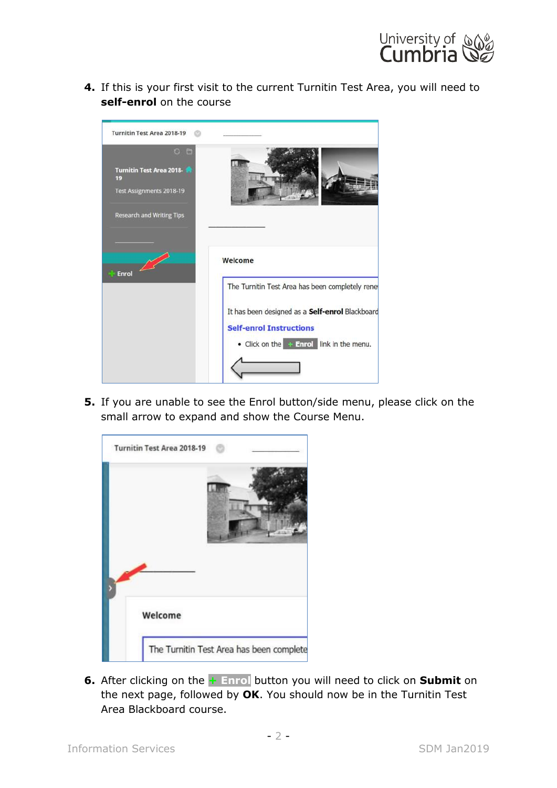

**4.** If this is your first visit to the current Turnitin Test Area, you will need to **self-enrol** on the course



**5.** If you are unable to see the Enrol button/side menu, please click on the small arrow to expand and show the Course Menu.



**6.** After clicking on the **+ Enrol** button you will need to click on **Submit** on the next page, followed by **OK**. You should now be in the Turnitin Test Area Blackboard course.